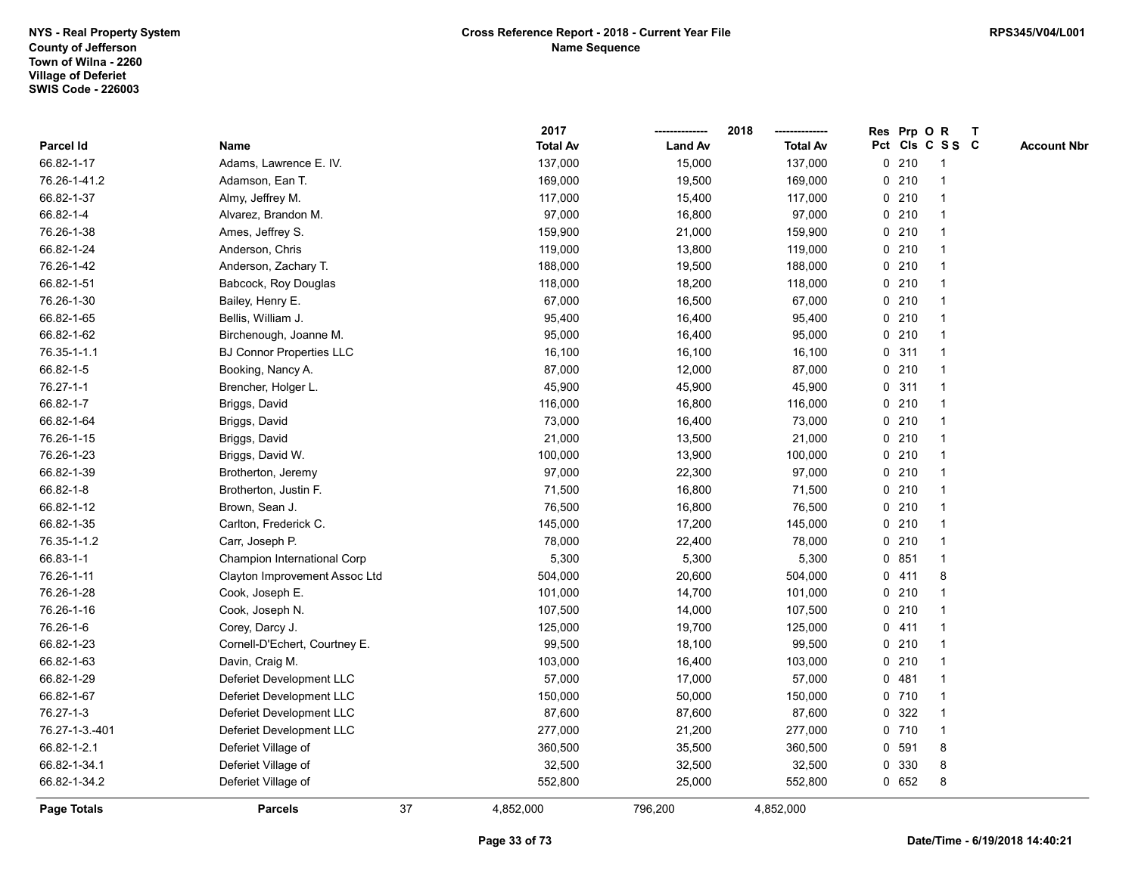|                    |                                 |    | 2017            |                | 2018            |   |       | Res Prp O R     | T |                    |
|--------------------|---------------------------------|----|-----------------|----------------|-----------------|---|-------|-----------------|---|--------------------|
| Parcel Id          | Name                            |    | <b>Total Av</b> | <b>Land Av</b> | <b>Total Av</b> |   |       | Pct Cls C S S C |   | <b>Account Nbr</b> |
| 66.82-1-17         | Adams, Lawrence E. IV.          |    | 137,000         | 15,000         | 137,000         |   | 0210  | $\mathbf{1}$    |   |                    |
| 76.26-1-41.2       | Adamson, Ean T.                 |    | 169,000         | 19,500         | 169,000         |   | 0210  |                 |   |                    |
| 66.82-1-37         | Almy, Jeffrey M.                |    | 117,000         | 15,400         | 117,000         |   | 0210  | -1              |   |                    |
| 66.82-1-4          | Alvarez, Brandon M.             |    | 97,000          | 16,800         | 97,000          |   | 0210  |                 |   |                    |
| 76.26-1-38         | Ames, Jeffrey S.                |    | 159,900         | 21,000         | 159,900         |   | 0210  |                 |   |                    |
| 66.82-1-24         | Anderson, Chris                 |    | 119,000         | 13,800         | 119,000         |   | 0210  |                 |   |                    |
| 76.26-1-42         | Anderson, Zachary T.            |    | 188,000         | 19,500         | 188,000         |   | 0210  |                 |   |                    |
| 66.82-1-51         | Babcock, Roy Douglas            |    | 118,000         | 18,200         | 118,000         |   | 0210  |                 |   |                    |
| 76.26-1-30         | Bailey, Henry E.                |    | 67,000          | 16,500         | 67,000          |   | 0210  |                 |   |                    |
| 66.82-1-65         | Bellis, William J.              |    | 95,400          | 16,400         | 95,400          |   | 0210  |                 |   |                    |
| 66.82-1-62         | Birchenough, Joanne M.          |    | 95,000          | 16,400         | 95,000          |   | 0210  |                 |   |                    |
| 76.35-1-1.1        | <b>BJ Connor Properties LLC</b> |    | 16,100          | 16,100         | 16,100          |   | 0.311 |                 |   |                    |
| 66.82-1-5          | Booking, Nancy A.               |    | 87,000          | 12,000         | 87,000          |   | 0210  |                 |   |                    |
| 76.27-1-1          | Brencher, Holger L.             |    | 45,900          | 45,900         | 45,900          |   | 0.311 |                 |   |                    |
| 66.82-1-7          | Briggs, David                   |    | 116,000         | 16,800         | 116,000         |   | 0210  |                 |   |                    |
| 66.82-1-64         | Briggs, David                   |    | 73,000          | 16,400         | 73,000          |   | 0210  |                 |   |                    |
| 76.26-1-15         | Briggs, David                   |    | 21,000          | 13,500         | 21,000          |   | 0210  |                 |   |                    |
| 76.26-1-23         | Briggs, David W.                |    | 100,000         | 13,900         | 100,000         |   | 0210  |                 |   |                    |
| 66.82-1-39         | Brotherton, Jeremy              |    | 97,000          | 22,300         | 97,000          |   | 0210  |                 |   |                    |
| 66.82-1-8          | Brotherton, Justin F.           |    | 71,500          | 16,800         | 71,500          |   | 0210  |                 |   |                    |
| 66.82-1-12         | Brown, Sean J.                  |    | 76,500          | 16,800         | 76,500          |   | 0210  |                 |   |                    |
| 66.82-1-35         | Carlton, Frederick C.           |    | 145,000         | 17,200         | 145,000         |   | 0210  |                 |   |                    |
| 76.35-1-1.2        | Carr, Joseph P.                 |    | 78,000          | 22,400         | 78,000          |   | 0210  | $\mathbf 1$     |   |                    |
| 66.83-1-1          | Champion International Corp     |    | 5,300           | 5,300          | 5,300           |   | 0851  |                 |   |                    |
| 76.26-1-11         | Clayton Improvement Assoc Ltd   |    | 504,000         | 20,600         | 504,000         |   | 0411  | 8               |   |                    |
| 76.26-1-28         | Cook, Joseph E.                 |    | 101,000         | 14,700         | 101,000         |   | 0210  |                 |   |                    |
| 76.26-1-16         | Cook, Joseph N.                 |    | 107,500         | 14,000         | 107,500         |   | 0210  |                 |   |                    |
| 76.26-1-6          | Corey, Darcy J.                 |    | 125,000         | 19,700         | 125,000         |   | 0411  |                 |   |                    |
| 66.82-1-23         | Cornell-D'Echert, Courtney E.   |    | 99,500          | 18,100         | 99,500          |   | 0210  |                 |   |                    |
| 66.82-1-63         | Davin, Craig M.                 |    | 103,000         | 16,400         | 103,000         |   | 0210  |                 |   |                    |
| 66.82-1-29         | Deferiet Development LLC        |    | 57,000          | 17,000         | 57,000          |   | 0481  |                 |   |                    |
| 66.82-1-67         | Deferiet Development LLC        |    | 150,000         | 50,000         | 150,000         |   | 0710  |                 |   |                    |
| 76.27-1-3          | Deferiet Development LLC        |    | 87,600          | 87,600         | 87,600          |   | 0 322 |                 |   |                    |
| 76.27-1-3.-401     | Deferiet Development LLC        |    | 277,000         | 21,200         | 277,000         |   | 0710  |                 |   |                    |
| 66.82-1-2.1        | Deferiet Village of             |    | 360,500         | 35,500         | 360,500         |   | 0 591 | 8               |   |                    |
| 66.82-1-34.1       | Deferiet Village of             |    | 32,500          | 32,500         | 32,500          | 0 | 330   | 8               |   |                    |
| 66.82-1-34.2       | Deferiet Village of             |    | 552,800         | 25,000         | 552,800         |   | 0 652 | 8               |   |                    |
| <b>Page Totals</b> | <b>Parcels</b>                  | 37 | 4,852,000       | 796,200        | 4,852,000       |   |       |                 |   |                    |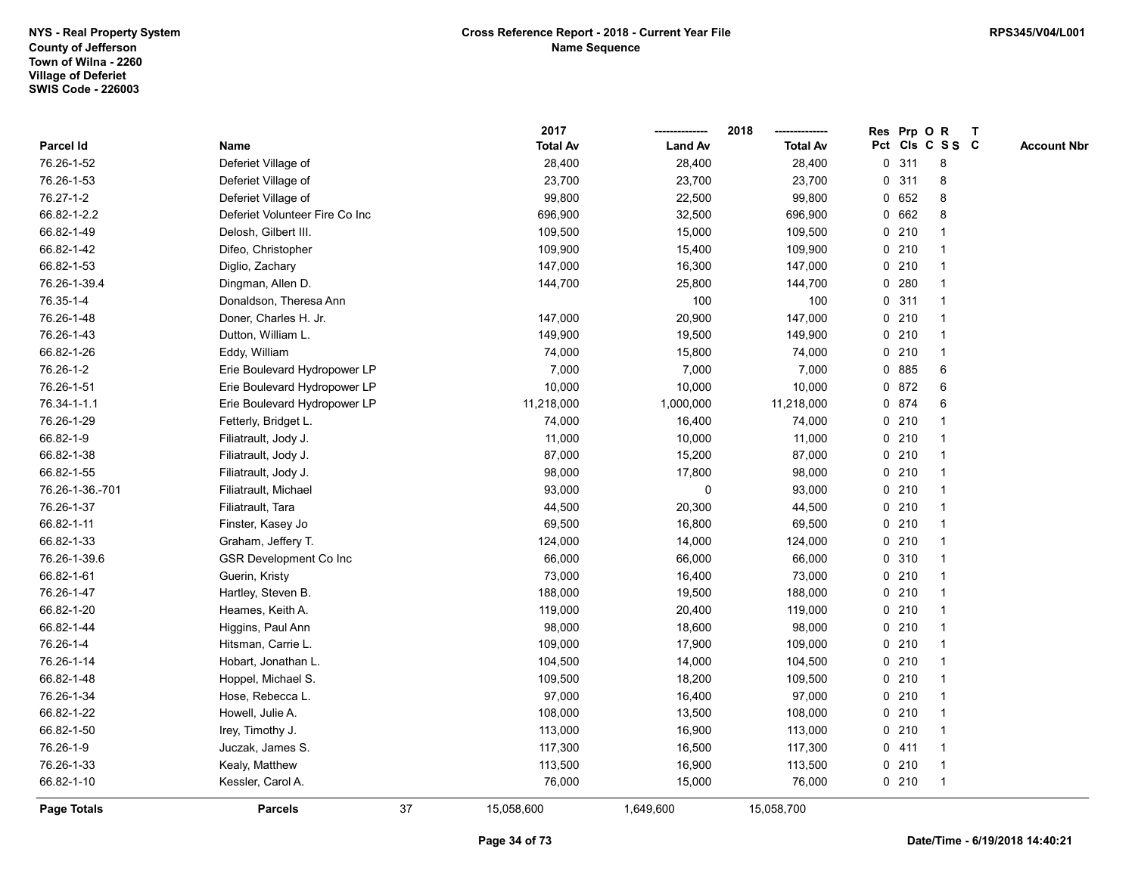|                    |                                |    | 2017            |                | 2018            |             |       | Res Prp O R     | T |                    |
|--------------------|--------------------------------|----|-----------------|----------------|-----------------|-------------|-------|-----------------|---|--------------------|
| Parcel Id          | Name                           |    | <b>Total Av</b> | <b>Land Av</b> | <b>Total Av</b> |             |       | Pct Cls C S S C |   | <b>Account Nbr</b> |
| 76.26-1-52         | Deferiet Village of            |    | 28,400          | 28,400         | 28,400          | 0           | 311   | 8               |   |                    |
| 76.26-1-53         | Deferiet Village of            |    | 23,700          | 23,700         | 23,700          | 0           | 311   | 8               |   |                    |
| 76.27-1-2          | Deferiet Village of            |    | 99,800          | 22,500         | 99,800          |             | 0 652 | 8               |   |                    |
| 66.82-1-2.2        | Deferiet Volunteer Fire Co Inc |    | 696,900         | 32,500         | 696,900         |             | 0 662 | 8               |   |                    |
| 66.82-1-49         | Delosh, Gilbert III.           |    | 109,500         | 15,000         | 109,500         |             | 0210  |                 |   |                    |
| 66.82-1-42         | Difeo, Christopher             |    | 109,900         | 15,400         | 109,900         |             | 0210  | -1              |   |                    |
| 66.82-1-53         | Diglio, Zachary                |    | 147,000         | 16,300         | 147,000         |             | 0210  |                 |   |                    |
| 76.26-1-39.4       | Dingman, Allen D.              |    | 144,700         | 25,800         | 144,700         | 0           | 280   | $\overline{1}$  |   |                    |
| 76.35-1-4          | Donaldson, Theresa Ann         |    |                 | 100            | 100             | $\mathbf 0$ | 311   | $\mathbf{1}$    |   |                    |
| 76.26-1-48         | Doner, Charles H. Jr.          |    | 147,000         | 20,900         | 147,000         |             | 0210  | $\mathbf{1}$    |   |                    |
| 76.26-1-43         | Dutton, William L.             |    | 149,900         | 19,500         | 149,900         |             | 0210  | 1               |   |                    |
| 66.82-1-26         | Eddy, William                  |    | 74,000          | 15,800         | 74,000          |             | 0210  |                 |   |                    |
| 76.26-1-2          | Erie Boulevard Hydropower LP   |    | 7,000           | 7,000          | 7,000           | 0           | 885   | 6               |   |                    |
| 76.26-1-51         | Erie Boulevard Hydropower LP   |    | 10,000          | 10,000         | 10,000          | 0           | 872   | 6               |   |                    |
| 76.34-1-1.1        | Erie Boulevard Hydropower LP   |    | 11,218,000      | 1,000,000      | 11,218,000      |             | 0 874 | 6               |   |                    |
| 76.26-1-29         | Fetterly, Bridget L.           |    | 74,000          | 16,400         | 74,000          |             | 0210  | $\mathbf{1}$    |   |                    |
| 66.82-1-9          | Filiatrault, Jody J.           |    | 11,000          | 10,000         | 11,000          |             | 0210  | $\overline{1}$  |   |                    |
| 66.82-1-38         | Filiatrault, Jody J.           |    | 87,000          | 15,200         | 87,000          |             | 0210  | -1              |   |                    |
| 66.82-1-55         | Filiatrault, Jody J.           |    | 98,000          | 17,800         | 98,000          |             | 0210  |                 |   |                    |
| 76.26-1-36.-701    | Filiatrault, Michael           |    | 93,000          | $\mathbf 0$    | 93,000          |             | 0210  | 1               |   |                    |
| 76.26-1-37         | Filiatrault, Tara              |    | 44,500          | 20,300         | 44,500          |             | 0210  |                 |   |                    |
| 66.82-1-11         | Finster, Kasey Jo              |    | 69,500          | 16,800         | 69,500          |             | 0210  | $\mathbf{1}$    |   |                    |
| 66.82-1-33         | Graham, Jeffery T.             |    | 124,000         | 14,000         | 124,000         |             | 0210  | $\mathbf{1}$    |   |                    |
| 76.26-1-39.6       | GSR Development Co Inc         |    | 66,000          | 66,000         | 66,000          |             | 0 310 | $\overline{1}$  |   |                    |
| 66.82-1-61         | Guerin, Kristy                 |    | 73,000          | 16,400         | 73,000          |             | 0210  |                 |   |                    |
| 76.26-1-47         | Hartley, Steven B.             |    | 188,000         | 19,500         | 188,000         |             | 0210  |                 |   |                    |
| 66.82-1-20         | Heames, Keith A.               |    | 119,000         | 20,400         | 119,000         |             | 0210  | $\overline{1}$  |   |                    |
| 66.82-1-44         | Higgins, Paul Ann              |    | 98,000          | 18,600         | 98,000          |             | 0210  | 1               |   |                    |
| 76.26-1-4          | Hitsman, Carrie L.             |    | 109,000         | 17,900         | 109,000         |             | 0210  | $\mathbf{1}$    |   |                    |
| 76.26-1-14         | Hobart, Jonathan L.            |    | 104,500         | 14,000         | 104,500         |             | 0210  | $\mathbf{1}$    |   |                    |
| 66.82-1-48         | Hoppel, Michael S.             |    | 109,500         | 18,200         | 109,500         |             | 0210  | $\mathbf{1}$    |   |                    |
| 76.26-1-34         | Hose, Rebecca L.               |    | 97,000          | 16,400         | 97,000          |             | 0210  |                 |   |                    |
| 66.82-1-22         | Howell, Julie A.               |    | 108,000         | 13,500         | 108,000         |             | 0210  |                 |   |                    |
| 66.82-1-50         | Irey, Timothy J.               |    | 113,000         | 16,900         | 113,000         |             | 0210  | $\overline{1}$  |   |                    |
| 76.26-1-9          | Juczak, James S.               |    | 117,300         | 16,500         | 117,300         |             | 0411  | $\overline{1}$  |   |                    |
| 76.26-1-33         | Kealy, Matthew                 |    | 113,500         | 16,900         | 113,500         |             | 0210  | $\mathbf{1}$    |   |                    |
| 66.82-1-10         | Kessler, Carol A.              |    | 76,000          | 15,000         | 76,000          |             | 0210  | $\mathbf{1}$    |   |                    |
| <b>Page Totals</b> | <b>Parcels</b>                 | 37 | 15,058,600      | 1,649,600      | 15,058,700      |             |       |                 |   |                    |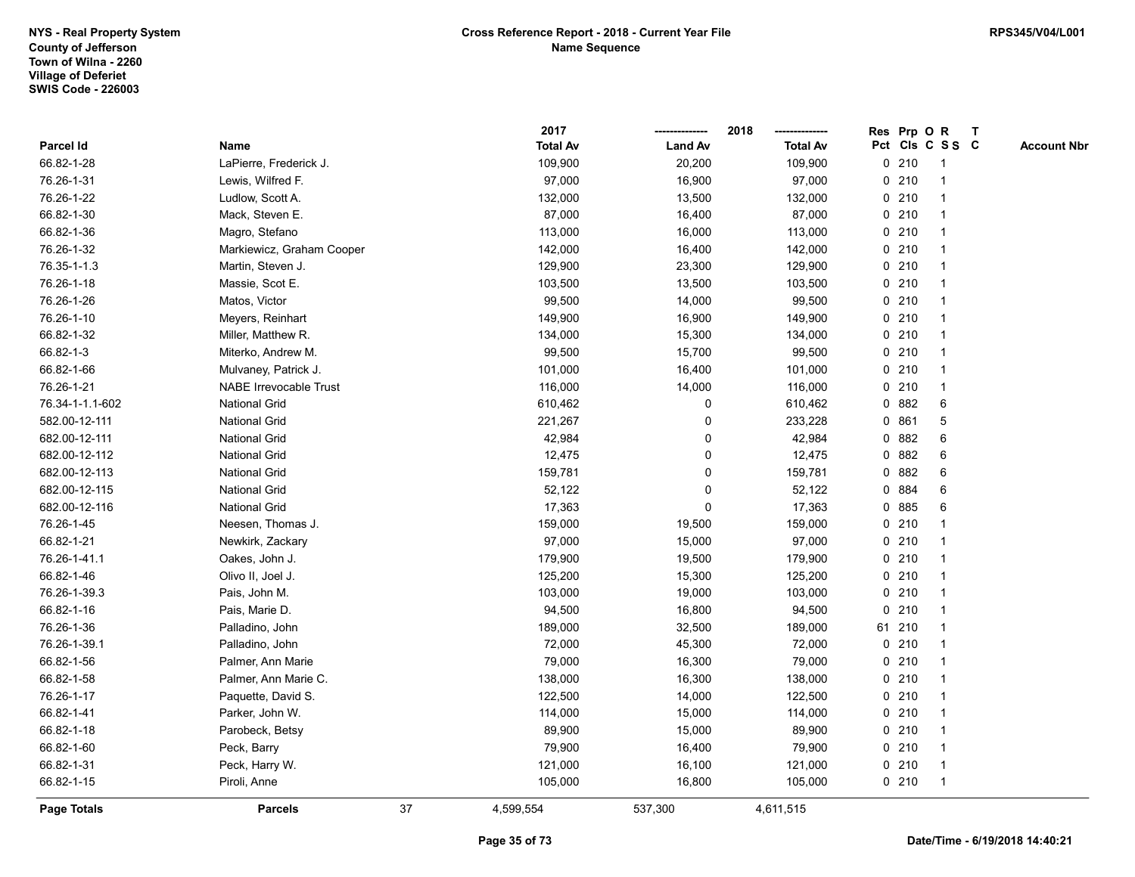|                    |                           |    | 2017            |                | 2018            |             |        | Res Prp O R     | T |                    |
|--------------------|---------------------------|----|-----------------|----------------|-----------------|-------------|--------|-----------------|---|--------------------|
| Parcel Id          | Name                      |    | <b>Total Av</b> | <b>Land Av</b> | <b>Total Av</b> |             |        | Pct Cls C S S C |   | <b>Account Nbr</b> |
| 66.82-1-28         | LaPierre, Frederick J.    |    | 109,900         | 20,200         | 109,900         | 0           | 210    | $\mathbf{1}$    |   |                    |
| 76.26-1-31         | Lewis, Wilfred F.         |    | 97,000          | 16,900         | 97,000          | $\mathbf 0$ | 210    |                 |   |                    |
| 76.26-1-22         | Ludlow, Scott A.          |    | 132,000         | 13,500         | 132,000         |             | 0210   |                 |   |                    |
| 66.82-1-30         | Mack, Steven E.           |    | 87,000          | 16,400         | 87,000          |             | 0210   |                 |   |                    |
| 66.82-1-36         | Magro, Stefano            |    | 113,000         | 16,000         | 113,000         |             | 0210   |                 |   |                    |
| 76.26-1-32         | Markiewicz, Graham Cooper |    | 142,000         | 16,400         | 142,000         |             | 0210   |                 |   |                    |
| 76.35-1-1.3        | Martin, Steven J.         |    | 129,900         | 23,300         | 129,900         |             | 0210   |                 |   |                    |
| 76.26-1-18         | Massie, Scot E.           |    | 103,500         | 13,500         | 103,500         |             | 0210   |                 |   |                    |
| 76.26-1-26         | Matos, Victor             |    | 99,500          | 14,000         | 99,500          |             | 0210   |                 |   |                    |
| 76.26-1-10         | Meyers, Reinhart          |    | 149,900         | 16,900         | 149,900         |             | 0210   |                 |   |                    |
| 66.82-1-32         | Miller, Matthew R.        |    | 134,000         | 15,300         | 134,000         |             | 0210   |                 |   |                    |
| 66.82-1-3          | Miterko, Andrew M.        |    | 99,500          | 15,700         | 99,500          |             | 0210   |                 |   |                    |
| 66.82-1-66         | Mulvaney, Patrick J.      |    | 101,000         | 16,400         | 101,000         |             | 0210   |                 |   |                    |
| 76.26-1-21         | NABE Irrevocable Trust    |    | 116,000         | 14,000         | 116,000         |             | 0210   |                 |   |                    |
| 76.34-1-1.1-602    | <b>National Grid</b>      |    | 610,462         | $\mathbf 0$    | 610,462         |             | 0 882  | 6               |   |                    |
| 582.00-12-111      | <b>National Grid</b>      |    | 221,267         | 0              | 233,228         | 0           | 861    | 5               |   |                    |
| 682.00-12-111      | <b>National Grid</b>      |    | 42,984          | 0              | 42,984          |             | 0.882  | 6               |   |                    |
| 682.00-12-112      | <b>National Grid</b>      |    | 12,475          | $\mathbf 0$    | 12,475          |             | 0 882  | 6               |   |                    |
| 682.00-12-113      | <b>National Grid</b>      |    | 159,781         | 0              | 159,781         |             | 0 882  | 6               |   |                    |
| 682.00-12-115      | <b>National Grid</b>      |    | 52,122          | 0              | 52,122          |             | 0 884  | 6               |   |                    |
| 682.00-12-116      | <b>National Grid</b>      |    | 17,363          | $\mathbf 0$    | 17,363          | 0           | 885    | 6               |   |                    |
| 76.26-1-45         | Neesen, Thomas J.         |    | 159,000         | 19,500         | 159,000         | 0           | 210    |                 |   |                    |
| 66.82-1-21         | Newkirk, Zackary          |    | 97,000          | 15,000         | 97,000          |             | 0210   |                 |   |                    |
| 76.26-1-41.1       | Oakes, John J.            |    | 179,900         | 19,500         | 179,900         |             | 0210   |                 |   |                    |
| 66.82-1-46         | Olivo II, Joel J.         |    | 125,200         | 15,300         | 125,200         |             | 0210   |                 |   |                    |
| 76.26-1-39.3       | Pais, John M.             |    | 103,000         | 19,000         | 103,000         |             | 0210   |                 |   |                    |
| 66.82-1-16         | Pais, Marie D.            |    | 94,500          | 16,800         | 94,500          |             | 0210   |                 |   |                    |
| 76.26-1-36         | Palladino, John           |    | 189,000         | 32,500         | 189,000         |             | 61 210 |                 |   |                    |
| 76.26-1-39.1       | Palladino, John           |    | 72,000          | 45,300         | 72,000          |             | 0210   |                 |   |                    |
| 66.82-1-56         | Palmer, Ann Marie         |    | 79,000          | 16,300         | 79,000          |             | 0210   |                 |   |                    |
| 66.82-1-58         | Palmer, Ann Marie C.      |    | 138,000         | 16,300         | 138,000         |             | 0210   |                 |   |                    |
| 76.26-1-17         | Paquette, David S.        |    | 122,500         | 14,000         | 122,500         |             | 0210   |                 |   |                    |
| 66.82-1-41         | Parker, John W.           |    | 114,000         | 15,000         | 114,000         |             | 0210   |                 |   |                    |
| 66.82-1-18         | Parobeck, Betsy           |    | 89,900          | 15,000         | 89,900          |             | 0210   |                 |   |                    |
| 66.82-1-60         | Peck, Barry               |    | 79,900          | 16,400         | 79,900          |             | 0210   |                 |   |                    |
| 66.82-1-31         | Peck, Harry W.            |    | 121,000         | 16,100         | 121,000         |             | 0210   | $\mathbf{1}$    |   |                    |
| 66.82-1-15         | Piroli, Anne              |    | 105,000         | 16,800         | 105,000         |             | 0210   | $\mathbf{1}$    |   |                    |
| <b>Page Totals</b> | <b>Parcels</b>            | 37 | 4,599,554       | 537,300        | 4,611,515       |             |        |                 |   |                    |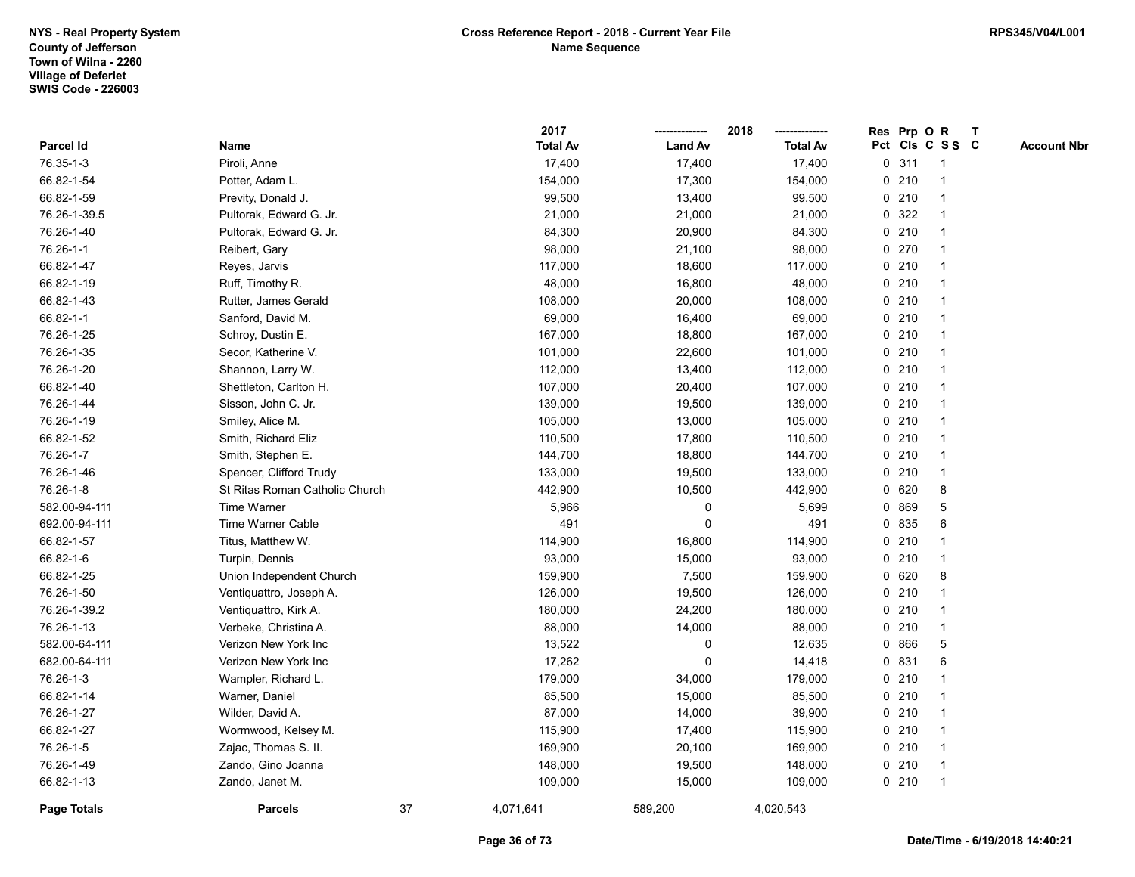|               |                                |    | 2017            |                | 2018            |             |         | Res Prp O R     | T |                    |
|---------------|--------------------------------|----|-----------------|----------------|-----------------|-------------|---------|-----------------|---|--------------------|
| Parcel Id     | Name                           |    | <b>Total Av</b> | <b>Land Av</b> | <b>Total Av</b> |             |         | Pct Cls C S S C |   | <b>Account Nbr</b> |
| 76.35-1-3     | Piroli, Anne                   |    | 17,400          | 17,400         | 17,400          | 0           | 311     | $\mathbf{1}$    |   |                    |
| 66.82-1-54    | Potter, Adam L.                |    | 154,000         | 17,300         | 154,000         | $\mathbf 0$ | 210     |                 |   |                    |
| 66.82-1-59    | Previty, Donald J.             |    | 99,500          | 13,400         | 99,500          |             | $0$ 210 | -1              |   |                    |
| 76.26-1-39.5  | Pultorak, Edward G. Jr.        |    | 21,000          | 21,000         | 21,000          |             | 0 322   |                 |   |                    |
| 76.26-1-40    | Pultorak, Edward G. Jr.        |    | 84,300          | 20,900         | 84,300          |             | 0210    |                 |   |                    |
| 76.26-1-1     | Reibert, Gary                  |    | 98,000          | 21,100         | 98,000          |             | 0270    |                 |   |                    |
| 66.82-1-47    | Reyes, Jarvis                  |    | 117,000         | 18,600         | 117,000         |             | 0210    |                 |   |                    |
| 66.82-1-19    | Ruff, Timothy R.               |    | 48,000          | 16,800         | 48,000          | 0           | 210     |                 |   |                    |
| 66.82-1-43    | Rutter, James Gerald           |    | 108,000         | 20,000         | 108,000         | 0           | 210     |                 |   |                    |
| 66.82-1-1     | Sanford, David M.              |    | 69,000          | 16,400         | 69,000          |             | $0$ 210 |                 |   |                    |
| 76.26-1-25    | Schroy, Dustin E.              |    | 167,000         | 18,800         | 167,000         |             | 0210    |                 |   |                    |
| 76.26-1-35    | Secor, Katherine V.            |    | 101,000         | 22,600         | 101,000         |             | $0$ 210 |                 |   |                    |
| 76.26-1-20    | Shannon, Larry W.              |    | 112,000         | 13,400         | 112,000         |             | 0210    |                 |   |                    |
| 66.82-1-40    | Shettleton, Carlton H.         |    | 107,000         | 20,400         | 107,000         |             | 0210    |                 |   |                    |
| 76.26-1-44    | Sisson, John C. Jr.            |    | 139,000         | 19,500         | 139,000         | 0           | 210     | $\mathbf{1}$    |   |                    |
| 76.26-1-19    | Smiley, Alice M.               |    | 105,000         | 13,000         | 105,000         |             | 0210    |                 |   |                    |
| 66.82-1-52    | Smith, Richard Eliz            |    | 110,500         | 17,800         | 110,500         |             | 0210    |                 |   |                    |
| 76.26-1-7     | Smith, Stephen E.              |    | 144,700         | 18,800         | 144,700         |             | $0$ 210 |                 |   |                    |
| 76.26-1-46    | Spencer, Clifford Trudy        |    | 133,000         | 19,500         | 133,000         |             | 0210    |                 |   |                    |
| 76.26-1-8     | St Ritas Roman Catholic Church |    | 442,900         | 10,500         | 442,900         |             | 0 620   | 8               |   |                    |
| 582.00-94-111 | Time Warner                    |    | 5,966           | $\pmb{0}$      | 5,699           | 0           | 869     | 5               |   |                    |
| 692.00-94-111 | Time Warner Cable              |    | 491             | $\mathbf 0$    | 491             |             | 0 835   | 6               |   |                    |
| 66.82-1-57    | Titus, Matthew W.              |    | 114,900         | 16,800         | 114,900         |             | 0210    |                 |   |                    |
| 66.82-1-6     | Turpin, Dennis                 |    | 93,000          | 15,000         | 93,000          |             | $0$ 210 |                 |   |                    |
| 66.82-1-25    | Union Independent Church       |    | 159,900         | 7,500          | 159,900         |             | 0 620   | 8               |   |                    |
| 76.26-1-50    | Ventiquattro, Joseph A.        |    | 126,000         | 19,500         | 126,000         |             | $0$ 210 |                 |   |                    |
| 76.26-1-39.2  | Ventiquattro, Kirk A.          |    | 180,000         | 24,200         | 180,000         |             | $0$ 210 |                 |   |                    |
| 76.26-1-13    | Verbeke, Christina A.          |    | 88,000          | 14,000         | 88,000          | 0           | 210     |                 |   |                    |
| 582.00-64-111 | Verizon New York Inc           |    | 13,522          | 0              | 12,635          |             | 0 866   | 5               |   |                    |
| 682.00-64-111 | Verizon New York Inc           |    | 17,262          | $\Omega$       | 14,418          |             | 0 831   | 6               |   |                    |
| 76.26-1-3     | Wampler, Richard L.            |    | 179,000         | 34,000         | 179,000         |             | 0210    |                 |   |                    |
| 66.82-1-14    | Warner, Daniel                 |    | 85,500          | 15,000         | 85,500          |             | 0210    |                 |   |                    |
| 76.26-1-27    | Wilder, David A.               |    | 87,000          | 14,000         | 39,900          |             | 0210    |                 |   |                    |
| 66.82-1-27    | Wormwood, Kelsey M.            |    | 115,900         | 17,400         | 115,900         |             | 0210    |                 |   |                    |
| 76.26-1-5     | Zajac, Thomas S. II.           |    | 169,900         | 20,100         | 169,900         | 0           | 210     |                 |   |                    |
| 76.26-1-49    | Zando, Gino Joanna             |    | 148,000         | 19,500         | 148,000         |             | 0210    | $\mathbf{1}$    |   |                    |
| 66.82-1-13    | Zando, Janet M.                |    | 109,000         | 15,000         | 109,000         |             | 0210    | $\overline{1}$  |   |                    |
| Page Totals   | <b>Parcels</b>                 | 37 | 4,071,641       | 589,200        | 4,020,543       |             |         |                 |   |                    |